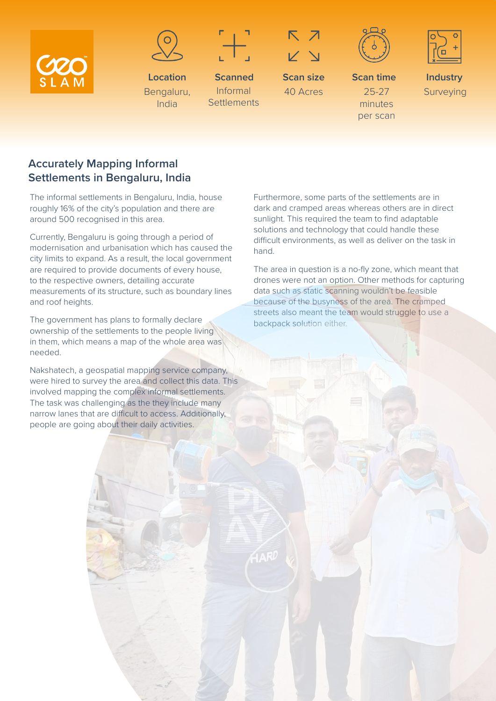





**Scanned** Informal **Settlements** 

**Location** Bengaluru, India



40 Acres





**Scan time** 25-27 minutes per scan **Scan size**

**Industry** Surveying

## **Accurately Mapping Informal Settlements in Bengaluru, India**

The informal settlements in Bengaluru, India, house roughly 16% of the city's population and there are around 500 recognised in this area.

Currently, Bengaluru is going through a period of modernisation and urbanisation which has caused the city limits to expand. As a result, the local government are required to provide documents of every house, to the respective owners, detailing accurate measurements of its structure, such as boundary lines and roof heights.

The government has plans to formally declare ownership of the settlements to the people living in them, which means a map of the whole area was needed.

Nakshatech, a geospatial mapping service company, were hired to survey the area and collect this data. This involved mapping the complex informal settlements. The task was challenging as the they include many narrow lanes that are difficult to access. Additionally, people are going about their daily activities.

Furthermore, some parts of the settlements are in dark and cramped areas whereas others are in direct sunlight. This required the team to find adaptable solutions and technology that could handle these difficult environments, as well as deliver on the task in hand.

The area in question is a no-fly zone, which meant that drones were not an option. Other methods for capturing data such as static scanning wouldn't be feasible because of the busyness of the area. The cramped streets also meant the team would struggle to use a backpack solution either.